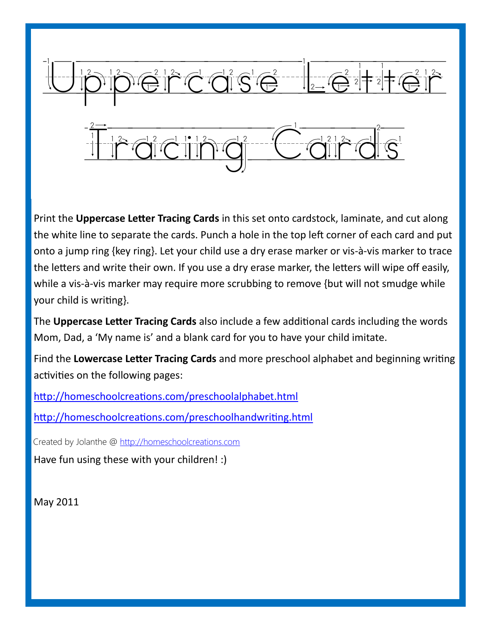

Print the **Uppercase Letter Tracing Cards** in this set onto cardstock, laminate, and cut along the white line to separate the cards. Punch a hole in the top left corner of each card and put onto a jump ring {key ring}. Let your child use a dry erase marker or vis-à-vis marker to trace the letters and write their own. If you use a dry erase marker, the letters will wipe off easily, while a vis-à-vis marker may require more scrubbing to remove {but will not smudge while your child is writing}.

The **Uppercase Letter Tracing Cards** also include a few additional cards including the words Mom, Dad, a 'My name is' and a blank card for you to have your child imitate.

Find the **Lowercase Letter Tracing Cards** and more preschool alphabet and beginning writing activities on the following pages:

<http://homeschoolcreations.com/preschoolalphabet.html>

<http://homeschoolcreations.com/preschoolhandwriting.html>

Created by Jolanthe @ [http://homeschoolcreations.com](http://homeschoolcreations.blogspot.com)

Have fun using these with your children! :)

May 2011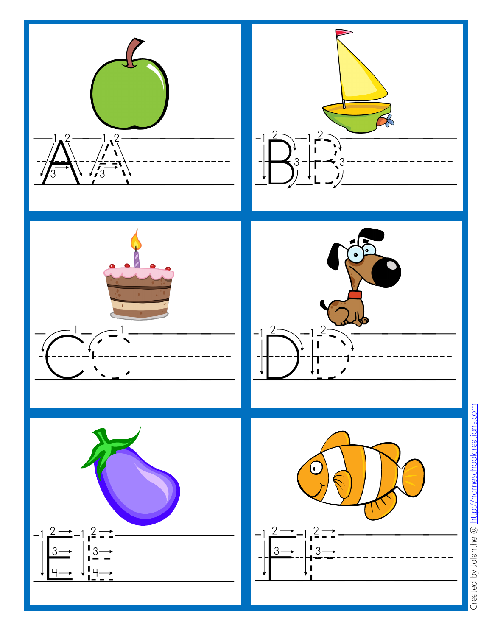

Created by Jolanthe @ http://homeschoolcreations.com Created by Jolanthe @ [http://homeschoolcreations.com](http://homeschoolcreations.blogspot.com)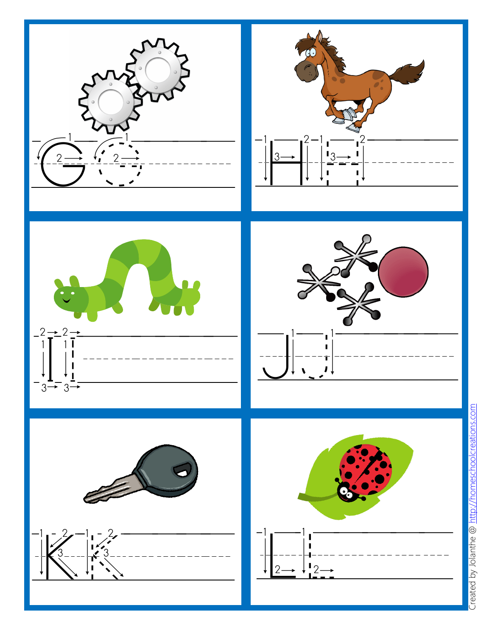

Created by Jolanthe @ http://homeschoolcreations.com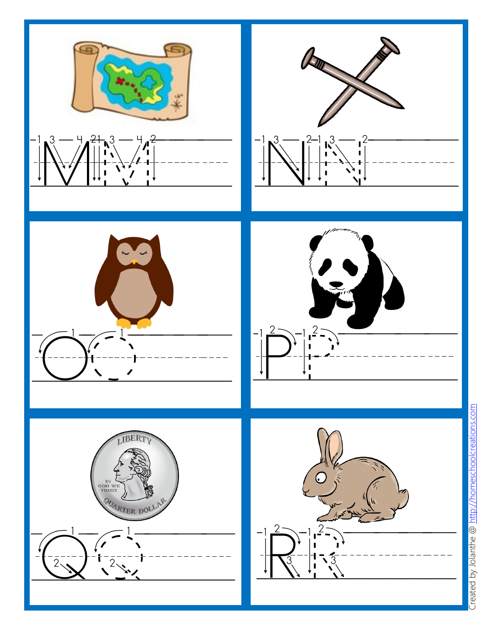

Created by Jolanthe @ http://homeschoolcreations.com Created by Jolanthe @ [http://homeschoolcreations.com](http://homeschoolcreations.blogspot.com)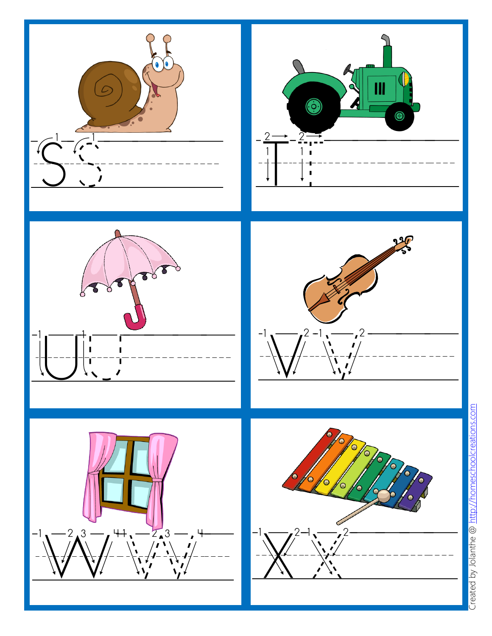